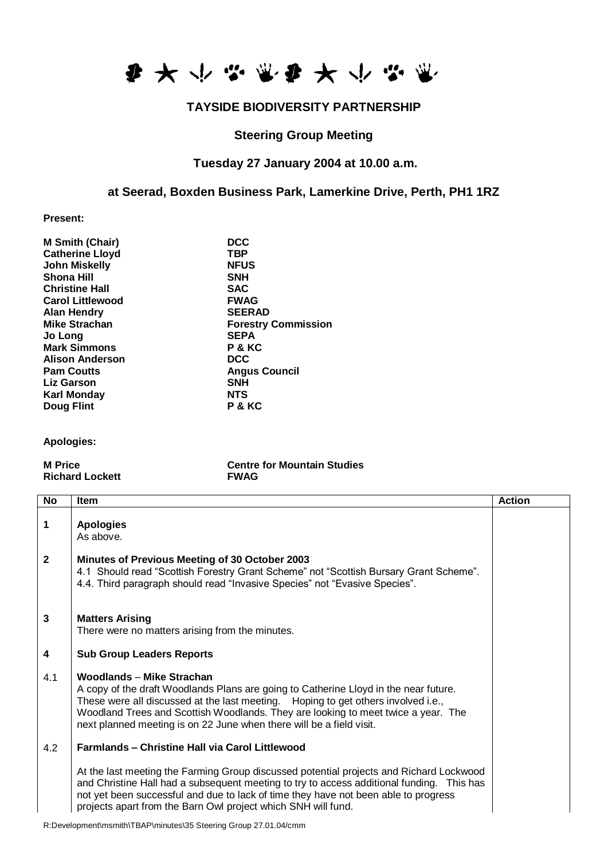

## **TAYSIDE BIODIVERSITY PARTNERSHIP**

#### **Steering Group Meeting**

## **Tuesday 27 January 2004 at 10.00 a.m.**

#### **at Seerad, Boxden Business Park, Lamerkine Drive, Perth, PH1 1RZ**

**Present:**

| <b>M Smith (Chair)</b>  | <b>DCC</b>                 |
|-------------------------|----------------------------|
| <b>Catherine Lloyd</b>  | <b>TBP</b>                 |
| <b>John Miskelly</b>    | <b>NFUS</b>                |
| <b>Shona Hill</b>       | <b>SNH</b>                 |
| <b>Christine Hall</b>   | <b>SAC</b>                 |
| <b>Carol Littlewood</b> | <b>FWAG</b>                |
| <b>Alan Hendry</b>      | <b>SEERAD</b>              |
| <b>Mike Strachan</b>    | <b>Forestry Commission</b> |
| Jo Long                 | <b>SEPA</b>                |
| <b>Mark Simmons</b>     | P & KC                     |
| <b>Alison Anderson</b>  | <b>DCC</b>                 |
| <b>Pam Coutts</b>       | <b>Angus Council</b>       |
| <b>Liz Garson</b>       | <b>SNH</b>                 |
| Karl Monday             | <b>NTS</b>                 |
| <b>Doug Flint</b>       | P & KC                     |
|                         |                            |

#### **Apologies:**

**Richard Lockett** 

# **M Price Centre for Mountain Studies**

| No             | <b>Item</b>                                                                                                                                                                                                                                                                                                                                                         | <b>Action</b> |
|----------------|---------------------------------------------------------------------------------------------------------------------------------------------------------------------------------------------------------------------------------------------------------------------------------------------------------------------------------------------------------------------|---------------|
| 1              | <b>Apologies</b><br>As above.                                                                                                                                                                                                                                                                                                                                       |               |
| $\overline{2}$ | Minutes of Previous Meeting of 30 October 2003<br>4.1 Should read "Scottish Forestry Grant Scheme" not "Scottish Bursary Grant Scheme".<br>4.4. Third paragraph should read "Invasive Species" not "Evasive Species".                                                                                                                                               |               |
| $\mathbf{3}$   | <b>Matters Arising</b><br>There were no matters arising from the minutes.                                                                                                                                                                                                                                                                                           |               |
| 4              | <b>Sub Group Leaders Reports</b>                                                                                                                                                                                                                                                                                                                                    |               |
| 4.1            | Woodlands - Mike Strachan<br>A copy of the draft Woodlands Plans are going to Catherine Lloyd in the near future.<br>These were all discussed at the last meeting. Hoping to get others involved i.e.,<br>Woodland Trees and Scottish Woodlands. They are looking to meet twice a year. The<br>next planned meeting is on 22 June when there will be a field visit. |               |
| 4.2            | <b>Farmlands - Christine Hall via Carol Littlewood</b>                                                                                                                                                                                                                                                                                                              |               |
|                | At the last meeting the Farming Group discussed potential projects and Richard Lockwood<br>and Christine Hall had a subsequent meeting to try to access additional funding. This has<br>not yet been successful and due to lack of time they have not been able to progress<br>projects apart from the Barn Owl project which SNH will fund.                        |               |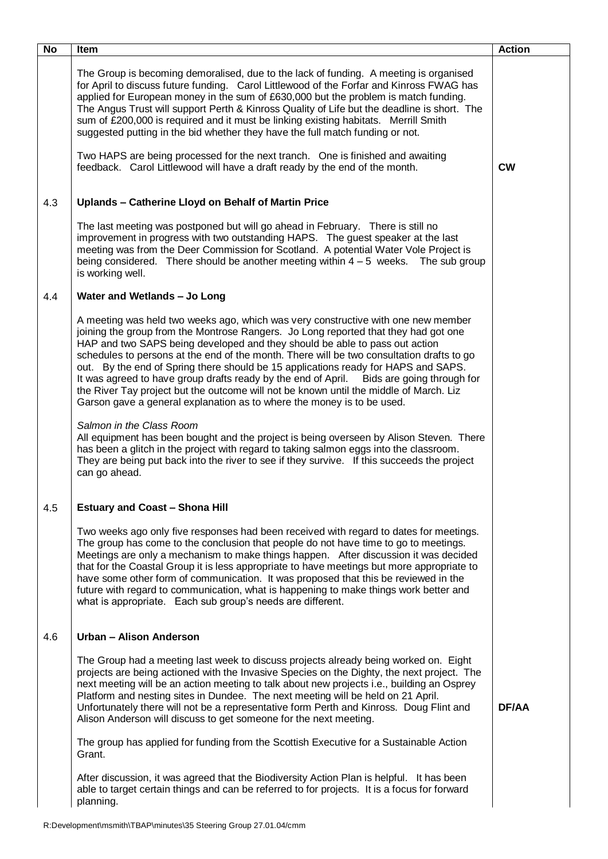| $\overline{N}$ | Item                                                                                                                                                                                                                                                                                                                                                                                                                                                                                                                                                                                                                                                                                                       | <b>Action</b> |
|----------------|------------------------------------------------------------------------------------------------------------------------------------------------------------------------------------------------------------------------------------------------------------------------------------------------------------------------------------------------------------------------------------------------------------------------------------------------------------------------------------------------------------------------------------------------------------------------------------------------------------------------------------------------------------------------------------------------------------|---------------|
|                | The Group is becoming demoralised, due to the lack of funding. A meeting is organised<br>for April to discuss future funding. Carol Littlewood of the Forfar and Kinross FWAG has<br>applied for European money in the sum of £630,000 but the problem is match funding.<br>The Angus Trust will support Perth & Kinross Quality of Life but the deadline is short. The<br>sum of £200,000 is required and it must be linking existing habitats. Merrill Smith<br>suggested putting in the bid whether they have the full match funding or not.                                                                                                                                                            |               |
|                | Two HAPS are being processed for the next tranch. One is finished and awaiting<br>feedback. Carol Littlewood will have a draft ready by the end of the month.                                                                                                                                                                                                                                                                                                                                                                                                                                                                                                                                              | <b>CW</b>     |
| 4.3            | Uplands - Catherine Lloyd on Behalf of Martin Price                                                                                                                                                                                                                                                                                                                                                                                                                                                                                                                                                                                                                                                        |               |
|                | The last meeting was postponed but will go ahead in February. There is still no<br>improvement in progress with two outstanding HAPS. The guest speaker at the last<br>meeting was from the Deer Commission for Scotland. A potential Water Vole Project is<br>being considered. There should be another meeting within $4-5$ weeks. The sub group<br>is working well.                                                                                                                                                                                                                                                                                                                                     |               |
| 4.4            | Water and Wetlands - Jo Long                                                                                                                                                                                                                                                                                                                                                                                                                                                                                                                                                                                                                                                                               |               |
|                | A meeting was held two weeks ago, which was very constructive with one new member<br>joining the group from the Montrose Rangers. Jo Long reported that they had got one<br>HAP and two SAPS being developed and they should be able to pass out action<br>schedules to persons at the end of the month. There will be two consultation drafts to go<br>out. By the end of Spring there should be 15 applications ready for HAPS and SAPS.<br>It was agreed to have group drafts ready by the end of April. Bids are going through for<br>the River Tay project but the outcome will not be known until the middle of March. Liz<br>Garson gave a general explanation as to where the money is to be used. |               |
|                | Salmon in the Class Room<br>All equipment has been bought and the project is being overseen by Alison Steven. There<br>has been a glitch in the project with regard to taking salmon eggs into the classroom.<br>They are being put back into the river to see if they survive. If this succeeds the project<br>can go ahead.                                                                                                                                                                                                                                                                                                                                                                              |               |
| 4.5            | <b>Estuary and Coast - Shona Hill</b>                                                                                                                                                                                                                                                                                                                                                                                                                                                                                                                                                                                                                                                                      |               |
|                | Two weeks ago only five responses had been received with regard to dates for meetings.<br>The group has come to the conclusion that people do not have time to go to meetings.<br>Meetings are only a mechanism to make things happen. After discussion it was decided<br>that for the Coastal Group it is less appropriate to have meetings but more appropriate to<br>have some other form of communication. It was proposed that this be reviewed in the<br>future with regard to communication, what is happening to make things work better and<br>what is appropriate. Each sub group's needs are different.                                                                                         |               |
| 4.6            | Urban - Alison Anderson                                                                                                                                                                                                                                                                                                                                                                                                                                                                                                                                                                                                                                                                                    |               |
|                | The Group had a meeting last week to discuss projects already being worked on. Eight<br>projects are being actioned with the Invasive Species on the Dighty, the next project. The<br>next meeting will be an action meeting to talk about new projects i.e., building an Osprey<br>Platform and nesting sites in Dundee. The next meeting will be held on 21 April.<br>Unfortunately there will not be a representative form Perth and Kinross. Doug Flint and<br>Alison Anderson will discuss to get someone for the next meeting.                                                                                                                                                                       | DF/AA         |
|                | The group has applied for funding from the Scottish Executive for a Sustainable Action<br>Grant.                                                                                                                                                                                                                                                                                                                                                                                                                                                                                                                                                                                                           |               |
|                | After discussion, it was agreed that the Biodiversity Action Plan is helpful. It has been<br>able to target certain things and can be referred to for projects. It is a focus for forward<br>planning.                                                                                                                                                                                                                                                                                                                                                                                                                                                                                                     |               |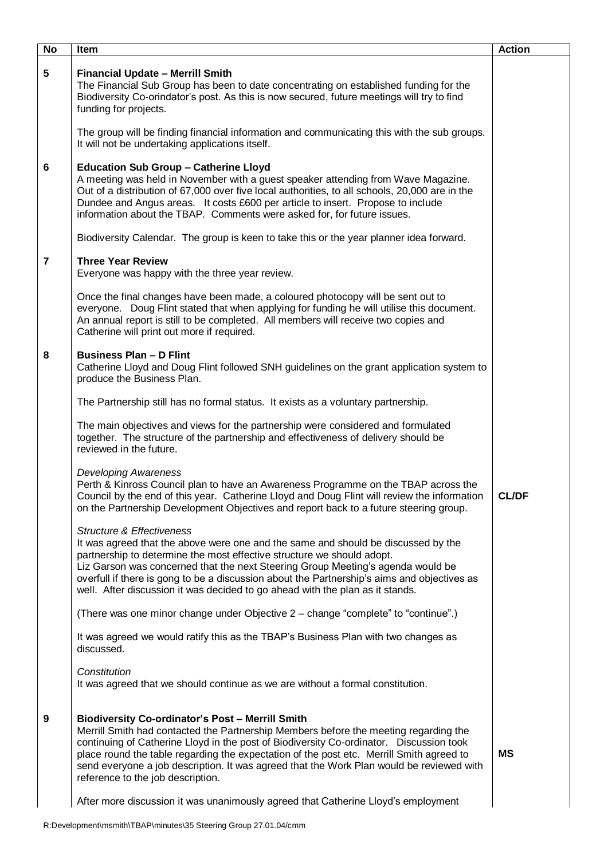| No               | Item                                                                                                                                                                                                                                                                                                                                                                                                                                                                    | <b>Action</b> |
|------------------|-------------------------------------------------------------------------------------------------------------------------------------------------------------------------------------------------------------------------------------------------------------------------------------------------------------------------------------------------------------------------------------------------------------------------------------------------------------------------|---------------|
| $5\phantom{.0}$  | <b>Financial Update - Merrill Smith</b><br>The Financial Sub Group has been to date concentrating on established funding for the<br>Biodiversity Co-orindator's post. As this is now secured, future meetings will try to find<br>funding for projects.                                                                                                                                                                                                                 |               |
|                  | The group will be finding financial information and communicating this with the sub groups.<br>It will not be undertaking applications itself.                                                                                                                                                                                                                                                                                                                          |               |
| $6\phantom{a}$   | <b>Education Sub Group - Catherine Lloyd</b><br>A meeting was held in November with a guest speaker attending from Wave Magazine.<br>Out of a distribution of 67,000 over five local authorities, to all schools, 20,000 are in the<br>Dundee and Angus areas. It costs £600 per article to insert. Propose to include<br>information about the TBAP. Comments were asked for, for future issues.                                                                       |               |
|                  | Biodiversity Calendar. The group is keen to take this or the year planner idea forward.                                                                                                                                                                                                                                                                                                                                                                                 |               |
| $\overline{7}$   | <b>Three Year Review</b><br>Everyone was happy with the three year review.                                                                                                                                                                                                                                                                                                                                                                                              |               |
|                  | Once the final changes have been made, a coloured photocopy will be sent out to<br>everyone. Doug Flint stated that when applying for funding he will utilise this document.<br>An annual report is still to be completed. All members will receive two copies and<br>Catherine will print out more if required.                                                                                                                                                        |               |
| 8                | <b>Business Plan - D Flint</b><br>Catherine Lloyd and Doug Flint followed SNH guidelines on the grant application system to<br>produce the Business Plan.                                                                                                                                                                                                                                                                                                               |               |
|                  | The Partnership still has no formal status. It exists as a voluntary partnership.                                                                                                                                                                                                                                                                                                                                                                                       |               |
|                  | The main objectives and views for the partnership were considered and formulated<br>together. The structure of the partnership and effectiveness of delivery should be<br>reviewed in the future.                                                                                                                                                                                                                                                                       |               |
|                  | <b>Developing Awareness</b><br>Perth & Kinross Council plan to have an Awareness Programme on the TBAP across the<br>Council by the end of this year. Catherine Lloyd and Doug Flint will review the information<br>on the Partnership Development Objectives and report back to a future steering group.                                                                                                                                                               | <b>CL/DF</b>  |
|                  | <b>Structure &amp; Effectiveness</b><br>It was agreed that the above were one and the same and should be discussed by the<br>partnership to determine the most effective structure we should adopt.<br>Liz Garson was concerned that the next Steering Group Meeting's agenda would be<br>overfull if there is gong to be a discussion about the Partnership's aims and objectives as<br>well. After discussion it was decided to go ahead with the plan as it stands.  |               |
|                  | (There was one minor change under Objective 2 - change "complete" to "continue".)                                                                                                                                                                                                                                                                                                                                                                                       |               |
|                  | It was agreed we would ratify this as the TBAP's Business Plan with two changes as<br>discussed.                                                                                                                                                                                                                                                                                                                                                                        |               |
|                  | Constitution<br>It was agreed that we should continue as we are without a formal constitution.                                                                                                                                                                                                                                                                                                                                                                          |               |
| $\boldsymbol{9}$ | <b>Biodiversity Co-ordinator's Post - Merrill Smith</b><br>Merrill Smith had contacted the Partnership Members before the meeting regarding the<br>continuing of Catherine Lloyd in the post of Biodiversity Co-ordinator. Discussion took<br>place round the table regarding the expectation of the post etc. Merrill Smith agreed to<br>send everyone a job description. It was agreed that the Work Plan would be reviewed with<br>reference to the job description. | <b>MS</b>     |
|                  | After more discussion it was unanimously agreed that Catherine Lloyd's employment                                                                                                                                                                                                                                                                                                                                                                                       |               |